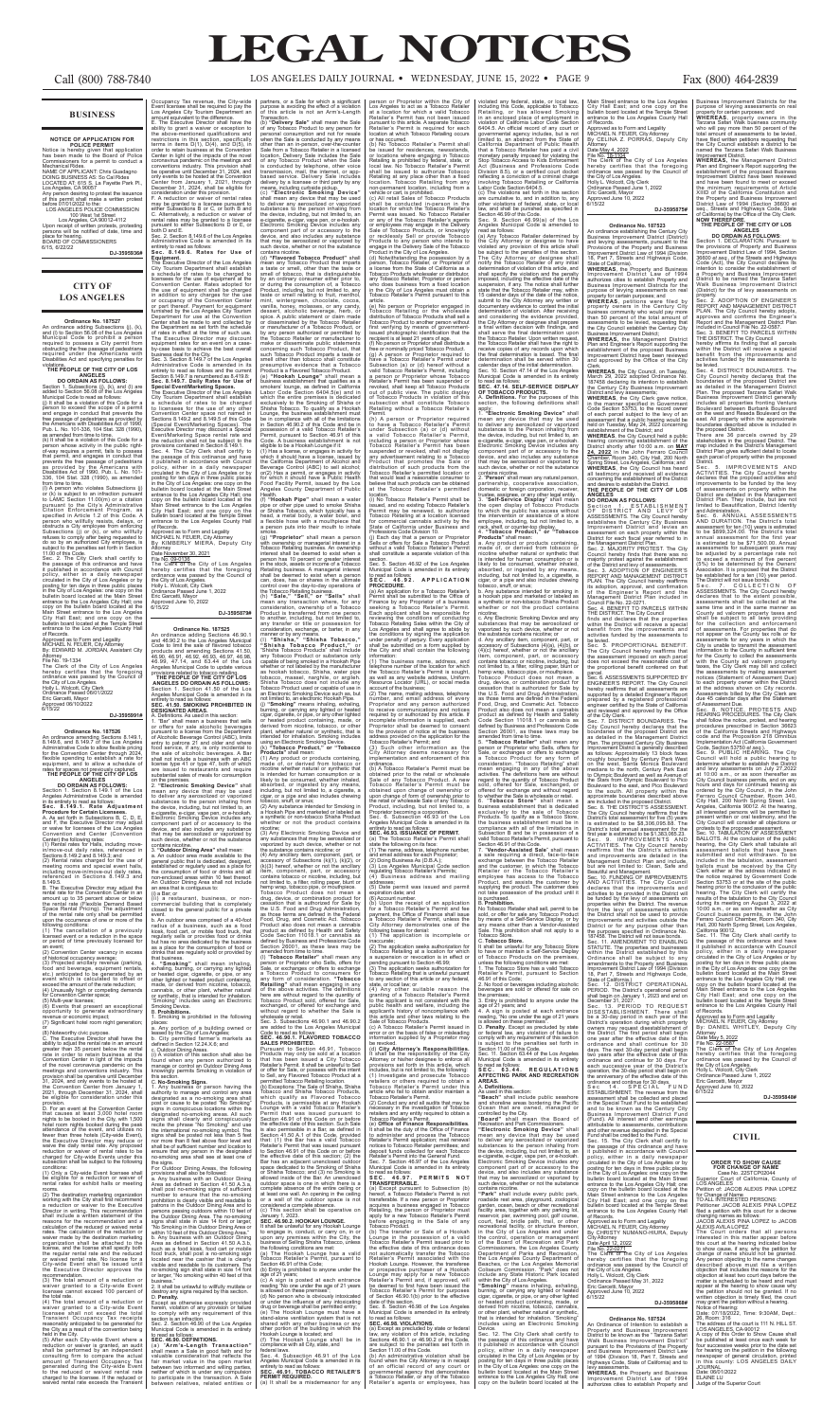### **BUSINESS**

NOTICE OF APPLICATION FOR<br>
POLICE PERMIT<br>
Notice is hereby given that application<br>
has been made to the Board of Police<br>
Commissioners for a permit to conduct a<br>
Mechanical Rides.<br>
NAME OF APPLICANT: Chris Guadagno<br>
DOING place for hearing.<br>BOARD OF COMMISSIONERS

6/15, 6/22/22 **DJ-3595936#**

### **CITY OF LOS ANGELES**

### **Ordinance No. 187527**

An ordinance adding Subsections (j), (k), and (l) to Section 56.08 of the Los Angeles Municipal Code to prohibit a person required to possess a City permit from obstructing the free passage of pedestrians required under the Americans with Disabilities Act and specifying penalties for violations. **THE PEOPLE OF THE CITY OF LOS** 

from time to time. (l) A person who violates Subsections (j) or (k) is subject to an infraction pursuant to LAMC Section 11.00(m) or a citation pursuant to the City's Administrative Citation Enforcement Program, as specified in Article 1.2 of this Code. A person who willfully resists, delays, or obstructs a City employee from enforcing<br>Subsections (j) or (k), or who willfully<br>refuses to comply after being requested to<br>do so by an authorized City employee, is<br>subject to the penalties set forth in Section

### **ANGELES DO ORDAIN AS FOLLOWS:**

Section 1. Subsections (j), (k), and (l) are added to Section 56.08 of the Los Angeles Municipal Code to read as follows: (j) It shall be a violation of this Code for a

person to exceed the scope of a permit and engage in conduct that prevents the free passage of pedestrians as provided by the Americans with Disabilities Act of 1990, Pub. L. No. 101-336, 104 Stat. 328 (1990), as amended from time to time. (k) It shall be a violation of this Code for a

person whose activity in the public right-of-way requires a permit, fails to possess that permit, and engages in conduct that prevents the free passage of pedestrians as provided by the Americans with Disabilities Act of 1990, Pub. L. No. 101- 336, 104 Stat. 328 (1990), as amended

and F, the Executive Director may adjust or waive for licensees of the Los Angeles Convention and Center (Convention Center) the following rates: (1) Rental rates for the following rates:<br>al rates for Halls, including mov

 $\frac{1}{2}$  licensed event or a reduction in the or period of time previously license or period of time previously licensed for an event; (2) Convention Center vacancy in excess

(5) Multi-year licenses; (6) Events that present an exceptional opportunity to generate extraordinary revenue or economic impact; (7) Sportunity to generate extraordinary<br>revenue or economic impact;<br>(7) Significant hotel room night generation;

or<br>(8) Noteworthy civic purpose.<br>C. The Executive Director shall have the<br>comparation of great and rate in an amount<br>greater than 35 percent below the rental rate in order to retain business at the<br>Convention Center in lig

provision.<br>
D. For an event at the Convention Center<br>
that causes at least 3,000 hotel room<br>
hotel room nights booked during the peak<br>
hotel room nights booked during the peak<br>
attendance of the event, and utilizes no<br>
few

11.00 of this Code. Sec. 2. The City Clerk shall certify to the passage of this ordinance and have it published in accordance with Council policy, either in a daily newspaper circulated in the City of Los Angeles or by posting for ten days in three public places in the City of Los Angeles: one copy on the bulletin board located at the Main Street entrance to the Los Angeles City Hall; one copy on the bulletin board located at the Street entrance to the Los Angeles City Hall East; and one copy on the bulletin board located at the Temple Street entrance to the Los Angeles County Hall

of Records. Approved as to Form and Legality MICHAEL N. FEUER, City Attorney By: EDWARD M. JORDAN, Assistant City

Attorney File No. 19-1334 The Clerk of the City of Los Angeles hereby certifies that the foregoing ordinance was passed by the Council of the City of Los Angeles. Holly L. Wolcott, City Clerk Ordinance Passed 06/01/2022

Eric Garcetti, Mayor Approved 06/10/2022 6/15/22 **DJ-3595991#**

**Ordinance No. 187526**<br>An ordinance amending Sections 8.149.1,<br>8.149.6, and 8.149.7 of the Los Angeles<br>Administrative Code to allow flexible pricing<br>for the Convention Center through 2024,<br>flexible spending to establish a

**ANGELES**<br> **DO ORDAIN AS FOLLOWS:**<br>
Section 1. Section 8.149.1 of the Los<br>
Angeles Administrative Code is amended<br>
in its entirety to read as follows:<br> **Sec. 8.149.1. Rate Adjustment** 

rooms.<br>(2) The destination marketing organization<br>avorking with the City shall first recommend<br>a reduction or waiver to the Executive<br>Director in writing. This recommendation<br>shall include a written statement of the<br>calcul rates. The calculation of the reduction or waiver made by the destination marketing organization shall be attached to the license, and the license shall specify both the regular rental rate and the reduced or waived rental rate. No license for a City-wide Event shall be issued until the Executive Director approves the

**Procedure for Certain Licensees.** A. As set forth in Subsections B, C, D, E,

in/move-out daily rates, referenced in Sections 8.149.2 and 8.149.3; and

(2) Rental rates charged for the use of meeting rooms and special event halls, including move-in/move-out daily rates, referenced in Sections 8.149.3 and 8.149.5. B. The Executive Director may adjust the

rental rate for the Convention Center in an<br>amount up to 35 percent above or below<br>the rental rate (Flexible Demand Based<br>Space Rental Pricing). The adjustment<br>of the rental rate only shall be permitted<br>upon the occurrence

of historical occupancy average; (3) Projected ancillary revenue (parking, food and beverage, equipment rentals, etc.) anticipated to be generated by an event which is calculated to offset or exceed the amount of the rate reduction; (4) Unusually high or competing demands for Convention Center space;

entrance to the Los Angeles County Hall of Records. Approved as to Form and Legality

WICHAEL N. FEUER, City Attorney<br>By KIMBERLY MIERA, Deputy City<br>Attorney

By KIMBERLY MIERA, Deputy City<br>Attorney<br>Date November 30, 2021<br>The No. 09-0136<br>The Clerk of the City of Los Angeles<br>The Clerk of the City of Los Angeles<br>hereby certifies that the foregoing<br>the City of Los Angeles.<br>Holly L. Approved June 10, 2022 6/15/22

mean any device that may be used to deliver any aerosolized or vaporized substances to the person inhaling from the device, including, but not limited to, an<br>e-cigarette, e-cigar, vape pen, or e-hookah.<br>Electronic Smoking Device includes any<br>component part of or accessory to the<br>device, and also includes any substance<br>such device, w contains nicotine. 3. **"Outdoor Dining Area"** shall mean: a. An outdoor area made available to the<br>general public that is dedicated, designed,<br>established or regularly used as a place for<br>the consumption of food or drinks and all<br>non-enclosed areas within 10 feet thereof.<br>An Outd

conditions: (1) Only a City-wide Event licensee shall be eligible for a reduction or waiver of rental rates for exhibit halls or meeting

recommendation. (3) The total amount of a reduction or waiver granted to a City-wide Event licensee cannot exceed 100 percent of

the total rate.<br>(4) The total amount of a reduction or<br>waiver granted to a City-wide Event<br>licensee shall not exceed the total<br>Transient Occupancy Tax receipts<br>reasonably anticipated to be generated for

the City as a result of the convention being<br>held in the City.<br>(5) After each City-wide Event where a<br>reduction or waiver is granted, an audit<br>shall be performed by an independent<br>consulting firm to compare the actual<br>amou

D. **Penalty.** Except as otherwise expressly provided herein, violation of any provision or failure<br>section is an infraction.<br>Sec. 2. Section 46.90 of the Los Angeles<br>Sec. 2. Section 46.90 of the Los Angeles<br>Municipal Code is amended in its entirety

Main Street entrance to the Los Angeles City Hall East; and one copy on the bulletin board located at the Temple Street

a synthetic or non-tobacco Shisha Product whether or not the product contains nicotine;<br>(3) Any Electronic Smoking Device and (3) Any Electronic Smoking Device and<br>any substances that may be aerosolized or<br>avaporized by such device, whether or not<br>the substance contains nicoline; or<br> $(4)$  Any ancillary item, component, part, or<br> $(4)$  Any ancilla Sale, or exchanges or offers to exchange a Tobacco Product to consumers for any form of consideration. "Tobacco<br>Retailing" shall mean engaging in any<br>of the above activities. The definitions<br>here are without regard to the quantity of<br>Tobacco Product sold, offered for Sale,<br>exchanged, or offered fo wholesale or retail.<br>Sec. 3. Subsections 46.90.1 and 46.90.2<br>are added to the Los Angeles Municipal Code to read as follows:<br>Code to read as follows:<br>SEC. 46.90.1. FLAVORED TOBACCO SEC. 46.90.1. FLAVORED TOBACCO<br>SALES PROHISTED.<br>DALES PROHISTED.<br>Pursuant to Section 46.91, Tobacco<br>Products may only be sold at a location<br>that has been issued a City Tobacco<br>Retailer's Permit. It shall be unlawful to Sel the effective date of this section. Stuch Sale<br>is also permissible in a Bar, as defined in<br>Section 41.50 A.1 of this Code, provided<br>that: (1) the Bar has a walid Tobacco<br>Retailer's Permit that was issued pursuant<br>to Sectio

person or Proprietor within the City of the City of<br>Los Angeles to act as a Tobacco Retailer<br>at a location for which a valid Tobacco<br>Retailer's Permit has not been issued for each experience<br>pursuant to this article. A sep

Tobacco Retailing or the whiclesale<br>
distribution of Tobacco Products shall sell a<br>
Tobacco Product to another person without<br>
first verifying by means of government-<br>
first verifying by means of government-<br>
recipient is

**DJ-3595879#**

**Crimage Moreover 18.18725**<br> **Crimage Moreover 18.18725**<br>
An ordinance adding Sections 46.90.1<br>
and 46.90.2 to the Los Angeles Municipal<br>
Code to limit the sale of flavored tobacco<br>
products and amending Sections 41.50,<br>
4

Occupancy Tax revenue, the City-wide Event licensee shall be required to pay the Los Angeles City Tourism Department an amount equivalent to the difference. Transaction.

E. The Executive Director shall have the<br>ability to grant a waver or exception to<br>the above-mentioned qualifications and<br>restrictions in this section, specifically<br>terms in items D(1), D(4), and D(5), in<br>Center in light of

Final Tates hay be granted to alternate<br>pursuant to either Subsections D or E, of<br>Sec. 2. Section 8.149.6 of the Los Angeles<br>Administrative Code is amended in its Sec. 2. Securities Code is amended in its<br>Administrative Code is amended in its<br>entirety to read as follows:<br>Sec. 8.149.6. Rates for Use of

entirely to read as follows:<br>
Seec. 8.1449.6. Rates for Use of<br>
Seec. 8.1449.6. Rates for Use of<br>
The Executive Director of the Los Angeles<br>
City Tourism Department shall establish<br>
a schedule of rates to be charged to<br>
cl

an area that is contiguous to: (i) a Bar; or (ii) a restaurant, business, or noncommercial building that is completely closed to the general public for a private event. b. An outdoor area comprised of a 40-foot

radius of a business, such as a food<br>kiosk, food cart, or mobile food truck, that<br>regularly sells or provides food or drinks<br>but has no area dedicated by the business<br>as a place for the consumption of food or<br>drinks that a

that business.<br>4. **"Smoking"** shall\_mean\_inhaling<br>in accruing any lighter 4. "Smoking" shall mean inhaling,<br>exhaling, burning, or carrying any lighted<br>or heated cigar, cigarette, or pipe, or any<br>or heated cigar, cigarette, or pipe, or any<br>made, or derived from nicotine, tobacco,<br>cannabis, or oth

places:<br>a. Any portion of a building owned or<br>leased by the City of Los Angeles;<br>b. City permitted farmer's markets as<br>defined in Section 12.24.X.6; and<br>c. Outdoor Dining Areas.<br>(i) A violation of this section shall also b

this section.<br>C. **No-Smoking Signs.** 

C. No-Smoking Signs.<br>1. Any business or person having the<br>authority to manage and control any area<br>designated as a no-smoking area shall<br>post or cause to be posted "No Smoking"<br>signs in conspicuous locations within the<br>des

For Outdoor Dining Areas, the following<br>provisions shall also be followed:<br>a. Any business with an Outdoor Dining<br>Area as defined in Section 41.50 A.3.a,<br>shall post no-smoking signs of sufficient<br>prohibition is clearly vis

business.″<br>2. It shall be unlawful to willfully mutilate o destroy any signs required by thi<br>0. **Penalty.** 

(h) A person or Proprietor required to have a Tobacco Retailer's Permit under Subsection (a) or (d) without a valid Tobacco Retailer's Permit, benting<br>including a person or Proprietor whose<br>Tobacco Retailer's Permit has been<br>suspended or revoked, shall not display<br>any advertisement relating to a Tobacco<br>Product that promotes the

(i) No Tobacco Retailer's Permit shall be<br>issued, and no existing Tobacco Retailer's<br>Permit may be renewed, to authorize<br>Tobacco Retailing at a location licensed<br>for commercial cannabis activity by the<br>State of California

section.<br>Sec. 5. Section 46.92 of the Los Angeles<br>Municipal Code is amended in its entirety Municipal Code is amended in its entirety to read as follows:

SEC. 46:92. APPLICATION<br>PROCEDURE.<br>Capaca (a) An application for a Tobacco Retailer's<br>Permit shall be submitted to the Office of<br>Finance by any Proprietor of a business<br>seeking a Tobacco Retailer's Permit.<br>Finance by any P

(d) **City Attorney's Responsibilities.** It shall be the responsibility of the City<br>Attomey or his/her designee to enforce all<br>provisions set forth in this article, which<br>includes, but is not limited to, the following:<br>(1) Investigate and prosecute Tobacco<br>Tobacc

article who fail to obtain and/or maintain a<br>Tobacco Retailer's Permit.<br>(2) Conduct any and all audits that may be<br>necessary in the investigation of Tobacco<br>retailers and any entity required to obtain a<br>Tobacco Retailer's

(e) **Office of Finance Responsibilities**.<br>It shall be the duty of the Office of Finance<br>to administer and process the Tobacco<br>Retailer's Permit application; mail renewal<br>notices to Tobacco Retailer permittees; and<br>deposit

to read as follows:<br>**SEC. 46.97. PERMITS NOT** 

**TRANSFERRABLE.**<br>(a) Except pursuant to Subsection (b)<br>hereof, a Tobacco Retailer's Permit is not<br>transferable. If a new person or Proprietor<br>acquires a business engaged in Tobacco<br>Retailing, the person or Proprietor must<br>

(b) The transfer or Sale of a Hookah<br>Lounge in the possession of a valid<br>Tobacco Retailer's Permit issued prior to<br>the effective date of this ordinance does<br>not automatically transfer the Tobacco<br>Retailer's Permit associat Hookah Lounge. However, the transferee<br>or prospective purchaser of a Hookah<br>Lounge may apply for a new Tobacco<br>Retailer's Permit and, if approved, will<br>be deemed to first have been issued the<br>Tobacco Retailer's Permit for

to read as follows: **SEC. 46.90. DEFINITIONS.**

(a) "Arm's-Length Transaction"<br>shall mean a Sale in good faith and for<br>valuable consideration that reflects the<br>fair market value in the open market<br>between two informed and willing parties,<br>neither of which is under any

It shall be unlawful for any Hookah Lounge<br>to engage in , conduct, or carry on, in or<br>upon any premises within the City, the<br>business of Selling Shisha Tobacco, unless<br>the following conditions are met:<br>(a) The Hookah Loung

age of 21 yearnshipsed to anyone under the<br>(c) A sign is posted at each entrance<br>reading "No one under the contraction"

(c) A sign is posted at each entrance<br>reading "No one under the age of 21 years<br>is allowed on these premises",<br>(d) No person who is obviously intoxicated<br>or under the influence of any intoxicating<br>drug or beverage shall b

partners, or a Sale for which a significant purpose is avoiding the effect of a violation of this article is not an Arm's-Length

(b) "Delivery Sale" shall mean the Sale<br>of any Tobacco Product to any person for<br>of any Tobacco Product to any person for<br>when the Sale is conducted by any means<br>other than an in-person, over-the-counter<br>Sale from a Tobacc

mean any Tobacco Product that imparts<br>a taste or smell, other than the taste or smell of tobacco, that is distinguishable by an ordinary consumer either prior to, and the prior to, and the consumption of a Tobacco orduring

are cumulative to, and in addition to, any<br>are the winditions of federal, state, or local<br>law, and shall be punished as specified in<br>Section 46.99 of this Code.<br>Section 46.99(a) of the Los<br>Angeles Municipal Code is amended determination shall be served within 30 calendar days of the initial determination. Sec. 10. Section 47.14 of the Los Angeles Municipal Code is amended in its entirety to read as follows:

or Shisha Tobacco, which typically has a head, a metal body, a water bowl, and a flexible hose with a mouthpiece that

a person puts into their mouth to inhale<br>smoke.<br>Smoke.<br>Smoke.<br>Smoke and person with ownership or mangerial interest in a<br>Mobacco Retailing business. An ownership<br>interest shall be deemed to exist when a person has 10 perce

federal laws. Sec. 4. Subsection 46.91 of the Los

Angeles Municipal Code is amended in its<br>entirety to read as follows:<br>**SEC. 46.91. TOBACCO RETAILER'S<br>PERMIT REQUIRED.<br>(a) It shall be a misdemeanor for any** 

Proprietor becoming a corporation.<br>Sec. 6. Subsection 46.93 of the Los<br>Angeles Municipal Code is amended in its<br>entirety to read as follows:<br>**SEC. 46.93. ISSUANCE OF PERMIT.** 

(a) The Tobacco Retailer's Permit shall<br>state the following on its face:<br>(1) The name, address, telephone number,<br>and email address for each Proprietor;<br>(2) Doing Business As (D.B.A.);<br>(3) Los Angeles Municipal Code sectio (3) Looring...<br>regulating Tobacco Retailer's Permits;<br>(4) Business address and mailing

> **Ordinance No. 187524** An Ordinance of Intention to establish a Property and Business Improvement District to be known as the " Tarzana Safari Walk Business Improvement District" pursuant to the Provisions of the Property and Business Improvement District Law of 1994 (Division 18, Part 7, Streets and Highways Code, State of California) and to levy assessments.<br>**WHEREAS**, the Property and Business<br>Improvement District Law of 1994<br>authorizes cities to establish Property and

Management District Plan and include,<br>but are not limited to: Clean, Safe and<br>Beautiful and Management.<br>Sec. 10. FUNDING OF IMPROVEMENTS<br>AND ACTIVITIES. The City Council<br>declares that the improvements and<br>activities to be improvements and activities outside the<br>District or for any purpose other than<br>the purposes specified in Ordinance No.<br>187458. The District will not issue bonds.<br>Sec. 11. AMENDMENT TO ENABLING the notice required by Government Code<br>Section 53753 or at the site of the public<br>hearing prior to the conclusion of the public<br>hearing prior to the conclusion of the public<br>hearing. The City Clerk will certify the<br>results Hall, 200 North Spring Street, Los Angeles, California 90012.

Sec. 11. The City Clerk shall certify to<br>the passage of this ordinance and have<br>the passage of this ordinance and have<br>policy, either in a daily newspaper<br>circulated in the City of Los Angeles or by<br>positing for ten days i

(1) The business name, address, and telephone number of the location for which the Tobacco Retailer's Permit is sought, as well as any website address, Uniform

Resource Locator (URL), or social media<br>account of the business;<br>colomination and emailing address, telephone<br>(2) The name, mailing address of every<br>Proprietor and email address of every<br>Proprietor and any person authorize

implementation and enforcement of this<br>ordinance.<br>(b) A Tobacco Retailer's Permit must be

obtained prior to the retail or wholesale<br>Sale of any Tobacco Product. A new<br>Tobacco Retailer's Permit must be<br>obtained upon change of ownership or<br>upon change of form of ownership prior to<br>the retail or wholesale Sale of

violated any federal, state, or local law,<br>including this Code, applicable to Tolocavo<br>Retailing, or has allowed Smoking<br>in an enclosed place of employment in<br>violation of California Labor Code Section<br>siviolation of Calif

addresses; (5) Date permit was issued and permit

expiration date; and<br>(b) Account number.<br>(b) Upon the receipt of an application<br>for a Tobacco Retailer's Permit and fee<br>payment, the Office of Finance shall issue<br>a Tobacco Retailer's Permit, unless the<br>City Attorney demon

inaccurate; (2) The application seeks authorization for Tobacco Retailing at a location for which a suspension or revocation is in effect or pending pursuant to Section 46.99; (3) The application seeks authorization for

performing pursuant to seculor 40.99,<br>
(3) The application seeks authorization for<br>
Tobacco Retailing that is unlawful pursuant<br>
to any section of this article or any federal,

to any section of this article or any federal,<br>state, or local law, or<br>(4) Any other suitable reason the<br>granting of a Tobacco Retailer's Permit<br>to the applicant is not consistent with the<br>public health and welfare, includ

Sale of Tobacco Products. (c) A Tobacco Retailer's Permit issued in error or on the basis of false or misleading information supplied by a Proprietor may be revoked.

date of this section. Sec. 8. Section 46.98 of the Los Angeles Municipal Code is amended in its entirety to read as follows:

SEC. 46.98. VIOLATIONS.<br>(a) Except as precluded by state or federal<br>law, any violation of this article, including<br>Sections 46.90.1 or 46.90.2 of this Code,<br>are subject to the penalties set forth in<br>Section 11.00 of this Co

is purchased.<br>B. **Prohibition.** 

### **SEC. 47.14. SELF-SERVICE DISPLAY**

**SEC. 47.14. SELF-SERVICE DISTREMENT OF TOBACCO PRODUCTS.**<br>A. Definitions. For the purposes of this section, the following definitions shall

A. **Definitions.** For the purposes of this apply:<br>
A. **Definitions.** For the purposes of this apply:<br>
1. "Electronic **Smoking Device"** shall<br>
mean any device that may be used<br>
to deliver any aerosolized or vaporized or<br>
su

substances that may be aerosoilzed or<br>substances that may be aerosoilzed by such device, whether or not<br>the substance contains nicotine; or<br>d. Any ancicllary item, component, part, or<br>accessory of Subsections (4)(a), (4)(b

Products. To qualify as a Tobacco Store,<br>the business establishment must be in<br>compliance with all of the limitations in<br>Subsection B and be in possession of a<br>valid Tobacco Retailer's Permit, pursuant to Take the section 46.91 of this Code.<br>Section 46.91 of this Code.<br>7. "Vendor-Assisted Sale" shall mean 7. "Vendor-Assisted Sale" shall mean<br>a sale requiring a direct, face-to-face<br>exchange between the Tobacco Retailer<br>and the customer, in which the Tobacco<br>Retailer or the Tobacco Retailer's<br>employee has access to the Tobacc City Council hereby declares that the proposed District are<br>boundaries of the proposed District are<br>as detailed in the Management District are<br>Plan. The proposed Century City Business<br>Improvement District is generally desc approximate boundaries described above<br>are included in the proposed District.

B. **Prohibition.** No Tobacco Retailer shall sell, permit to be sold, or offer for sale any Tobacco Product by means of a Self-Service Display, or by any means other than a Vendor-Assisted Sale. This prohibition shall not apply to a Tobacco Store.

100acco Store.<br>C. **Tobacco Store.**<br>It shall be unlawful for any Tobacco Store to have or maintain a Self-Service Display<br>of Tobacco Products on the premises,<br>unless the following conditions are met:<br>1. The Tobacco Store has a valid Tobacco<br>Retailer's Permit, pursuant to Section<br>46.91 of this Code;

2. No food or beverages including alcoholic beverages are sold or offered for sale on

the premises; 3. Entry is prohibited to anyone under the

age of 21 years; and<br>4. A sign is posted at each entrance<br>reading, "No one under the age of 21 years<br>is allowed on these premises".<br>D. Penalty. Except as precluded by state<br>or federal law, any violation of failure to<br>compl

Sec. 11. Section 63.44 of the Los Angeles<br>Municipal Code is amended in its entirety<br>to read as follows:<br>**S E C . 6 3 .4 4 . R E G U L A T I O N S** 

**AFFECTING PARK AND RECREATION** 

AREAS.<br>A **Definitions**.

A. **Definitions.**<br>As used in this section:<br>**"Beach"** shall include public seashore<br>and shoreline areas bordering the Pacific<br>Ocean that are owned, managed or<br>controlled by the City.

"**Board"** shall mean the Board of Recreation and Park Commissioners.

"Electronic Smoking Device" shall me<br>mean any device that may be used<br>to deliver any aerosolized or vaporized<br>substances to the person inhaling from<br>the device, including, but not limited to, an<br>e-cigarette, e-cigar, vape

"Park" shall include every public park,<br>condisioners, hall include every public park,<br>garden, ocean, beach or other recreational<br>facility area, together with any parking lot,<br>reservoir, pier, swimming pool, golf course,<br>co Commissioners, the Los Angeles County Department of Parks and Recreation, the Los Angeles County Department of<br>Beaches, or the Los Angeles Memorial<br>Coliseum Commission. "Park" does not<br>include any State Historic Park located<br>within the City of Los Angeles.

"Smoking" means inhaling, exhaling,<br>burming, or carrying any lighted or heated<br>cigar, cigarette, or pipe, or any other lighted<br>or heated product containing, made, or<br>derived from nicotine, tobacco, cannabis,<br>or other plant

Device.<br>Sec. 12. The City Clerk shall certify to<br>the passage of this ordinance and have<br>it published in accordance with Council<br>policy, either in a daily newspaper<br>circulated in the City of Los Angeles or by<br>posting for te

Sec. 8. THE DISTRICT'S ASSESSMENT.<br>The City Council hereby reaffirms that the<br>District's total assessment for five (5) years<br>is estimated to be \$8,306,095.88. The<br>District's total annual assessment for the<br>first year is es Sec. 6. ANIVIAL ASSESSMENTS<br>
AND DURATION. The District's total<br>
assessment for ten (10) years is estimated<br>
to be \$899,324.00. The District's total<br>
ansusssment for ten (10) years is estimated<br>
to be \$89,324.00. The Distr City Council will consider all objections or<br>protests to the proposed assessment.<br>Sec. 10. TABULATION OF ASSESSMENT<br>BALLOTS. At the conclusion of the public<br>hearing, the City Clerk shall tabulate all<br>assessment ballots tha

Main Street entrance to the Los Angeles City Hall East; and one copy on the bulletin board located at the Temple Street entrance to the Los Angeles County Hall

of Records. Approved as to Form and Legality MICHAEL N. FEUER, City Attorney By CELINA Z. PORRAS, Deputy City Attorney

Date <u>May 4, 2022</u><br>File No. <u>18-1104</u><br>The Clerk of the City of Los Angeles<br>hereby certifies that the foregoing<br>ordinance was passed by the Council of<br>the City of Los Angeles.<br>Holly L. Wolcott, City Clerk<br>Ordinance Passed J

**Ordinate Note Theory and SCASS CONDING COMMON COMMON CONDUST<br>An ordinate stablishing the Century City<br>Business Improvement District (District)<br>Provisions of the Property and Business<br>Improvement District Law of 1994 (Divi** 

the Century City Business Improvement<br>
District and levy assessments;<br>
District and levy assessments;<br>
WHEREAS, the City Clerk gave notice,<br>
in the manner specified in Government<br>
Code Section 53753, to the record owner<br>
a

DO ORDAIN AS POLLOWS:<br>
Section 1. ESTABLISHMENT<br>
Section 1. ESTABLISHMENT<br>
OF DISTRICT AND LEVY OF<br>
ASSESSMENTS. The City Council hereby<br>
establishes the Century City Business<br>
ensushing the condition of the state state in

Approved June 10, 2022 6/15/22

Business Improvement Districts for the<br>purpose of levying assessments on real<br>property for certain purposes; and<br>WHEREAS, property owners in the<br>Tarzana Safari Walk business community<br>who will pay more than 50 percent of t

WHEREAS, the Management District Plane<br>
Plan and Engineer's Report supporting the<br>
Plan and Engineer's Report supporting the<br>
establishment of the proposed Business<br>
Improvement District have been rowived<br>
the minimum requ

Sec. 2. ADOPTION OF ENGINEER'S<br>REPORT AND MANAGEMENT DISTRICT<br>PLAN. The City Council hereby adopts,<br>approves and confirms the Engineer's<br>Report and the Management District Plan<br>moduled in Council File No. 22-0587.<br>Sec. 3.

City Council hereby declares that the proposed District are<br>solutions of the proposed District are<br>as detailed in the Management District are<br>as detailed in the Management District are<br>includes all properties fronting Vent

**DJ-3595875#**

The City Council hereby reaffirms that the assessment imposed on each parcel does not exceed the reasonable cost of the proportional benefit conferred on that

parcel.<br>Sec. 6. ASSESSMENTS SUPPORTED BY<br>ENGINEER'S REPORT. The City Council<br>hereby reaffirms that all assessments are<br>supported by a detailed Engineer's Report<br>prepared by a registered professional<br>engineer certified by t

**DJ-3595868#**

of Records. Approved as to Form and Legality MICHAEL N. FEUER, City Attorney By: DANIEL WHITLEY, Deputy City Attorney

Date <u>May 5, 2022</u><br>File No. <u>22-0587</u><br>The Clerk of the City of Los Angeles<br>hereby certifies that the foregoing<br>ordinance was passed by the Council of<br>the City of Los Angeles.<br>Holly L. Wolcott, City Clerk<br>Ordinance Passed J

**DJ-3595848#**

arssa, majer<br>ved June 10, 2022

Approve<br>6/15/22

the purposes specified in Ordinance No.<br>187458. The District will not issue bonds.<br>187458. The District will not issue bonds.<br>STATIUTE. The properties and businesses<br>STATIUTE. The properties and businesses<br>within the Distr

ordinance was passed by the Council of<br>the City of Los Angeles.<br>Holly L. Wolcott, City Clerk<br>Ordinance Passed May 31, 2022<br>Eric Garcetti, Mayor<br>Approved June 10, 2022<br>6/15/22<br>6/15/22

**CIVIL**

**CREACT SHOW CAUSE TO SHOW CAUSE CANNE**<br>
Case No. 22STCP02044<br>
Case No. 22STCP02044<br>
LOS ANGELES<br>
Superior Court of California, County of<br>
DOS ANGELES<br>
For Change of Name<br>
TO ALL INTERESTED PERSONS:<br>
TO ALL INTERESTED PERS

26, Room: 316<br>
The address of the court is 111 N. HILL ST.<br>
LOS ANGELES, CA-90012<br>
A copy of this Order to Show Cause shall<br>
A copy of this Order to Show Cause shall<br>
be published at least once each week for<br>
four successi

Date: 06/01/2022 ELAINE LU Judge of the Superior Court

## **LEGAL NOTICES**

### Call (800) 788-7840 LOS ANGELES DAILY JOURNAL •WEDNESDAY, JUNE 15, 2022 •PAGE 9 Fax (800) 464-2839